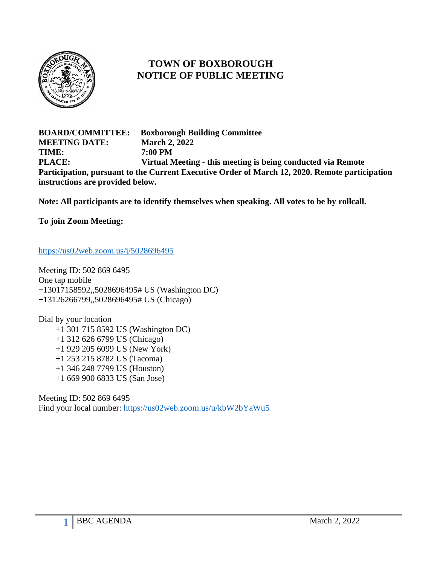

## **TOWN OF BOXBOROUGH NOTICE OF PUBLIC MEETING**

**BOARD/COMMITTEE: Boxborough Building Committee MEETING DATE: March 2, 2022 TIME: 7:00 PM PLACE: Virtual Meeting - this meeting is being conducted via Remote Participation, pursuant to the Current Executive Order of March 12, 2020. Remote participation instructions are provided below.**

**Note: All participants are to identify themselves when speaking. All votes to be by rollcall.**

**To join Zoom Meeting:**

<https://us02web.zoom.us/j/5028696495>

Meeting ID: 502 869 6495 One tap mobile +13017158592,,5028696495# US (Washington DC) +13126266799,,5028696495# US (Chicago)

Dial by your location +1 301 715 8592 US (Washington DC) +1 312 626 6799 US (Chicago) +1 929 205 6099 US (New York) +1 253 215 8782 US (Tacoma) +1 346 248 7799 US (Houston) +1 669 900 6833 US (San Jose)

Meeting ID: 502 869 6495 Find your local number:<https://us02web.zoom.us/u/kbW2bYaWu5>